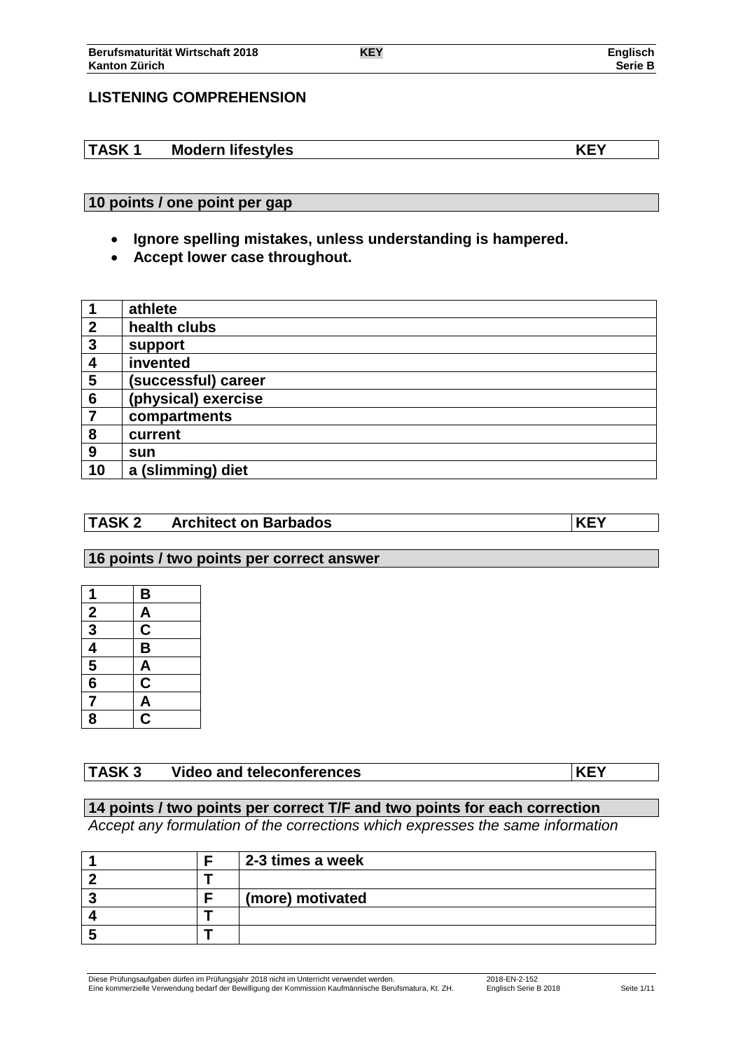## **LISTENING COMPREHENSION**

# **TASK 1 Modern lifestyles KEY**

# **10 points / one point per gap**

- **Ignore spelling mistakes, unless understanding is hampered.**
- **Accept lower case throughout.**

|                  | athlete             |
|------------------|---------------------|
| $\boldsymbol{2}$ | health clubs        |
| 3                | support             |
| 4                | invented            |
| 5                | (successful) career |
| 6                | (physical) exercise |
| 7                | compartments        |
| 8                | current             |
| 9                | sun                 |
| 10               | a (slimming) diet   |

## **TASK 2 Architect on Barbados KEY**

#### **16 points / two points per correct answer**

| 1                                                       | B                        |
|---------------------------------------------------------|--------------------------|
| $\frac{2}{3}$ $\frac{3}{4}$ $\frac{4}{5}$ $\frac{6}{6}$ | $\overline{\mathsf{A}}$  |
|                                                         | $\frac{\overline{C}}{B}$ |
|                                                         |                          |
|                                                         | <u>A</u>                 |
|                                                         | $\overline{\mathsf{C}}$  |
| 7                                                       | $\overline{\mathsf{A}}$  |
| 8                                                       | $\overline{\mathbf{c}}$  |

# **TASK 3 Video and teleconferences KEY**

## **14 points / two points per correct T/F and two points for each correction**

*Accept any formulation of the corrections which expresses the same information*

|  | 2-3 times a week |
|--|------------------|
|  |                  |
|  | (more) motivated |
|  |                  |
|  |                  |

Diese Prüfungsaufgaben dürfen im Prüfungsjahr 2018 nicht im Unterricht verwendet werden. 2018-EN-2-152 Eine kommerzielle Verwendung bedarf der Bewilligung der Kommission Kaufmännische Berufsmatura, Kt. ZH. Englisch Serie B 2018 Seite 1/11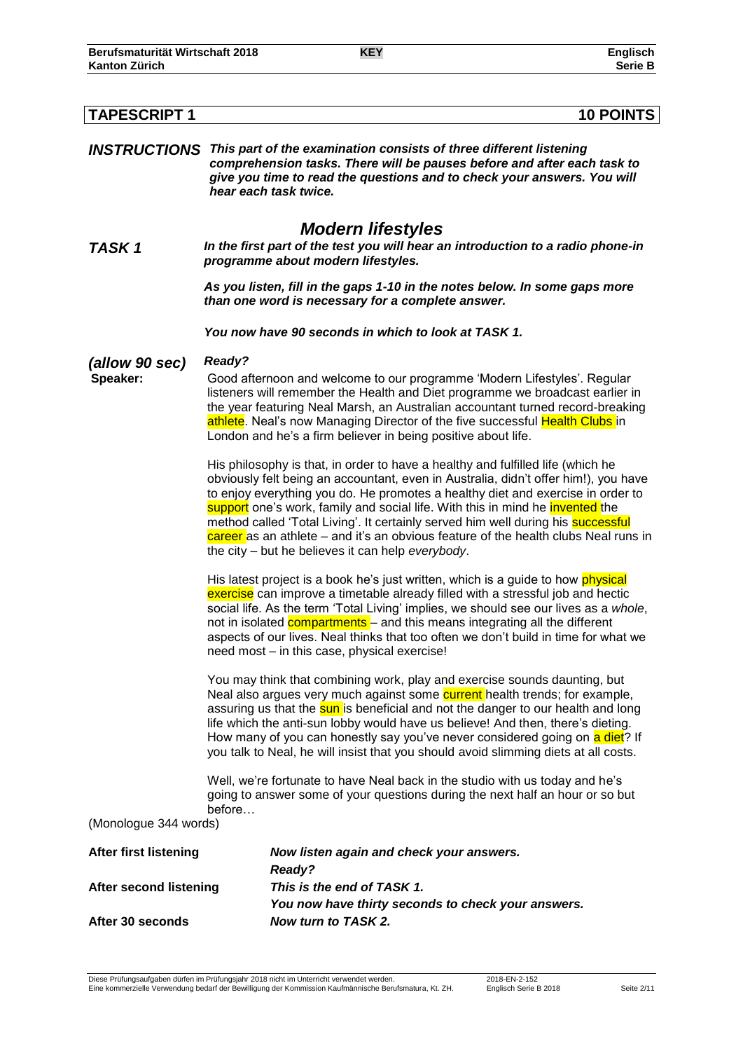| <b>TAPESCRIPT 1</b>           | <b>10 POINTS</b>                                                                                                                                                                                                                                                                                                                                                                                                                                                                                                                                                                                      |
|-------------------------------|-------------------------------------------------------------------------------------------------------------------------------------------------------------------------------------------------------------------------------------------------------------------------------------------------------------------------------------------------------------------------------------------------------------------------------------------------------------------------------------------------------------------------------------------------------------------------------------------------------|
|                               | <b>INSTRUCTIONS</b> This part of the examination consists of three different listening<br>comprehension tasks. There will be pauses before and after each task to<br>give you time to read the questions and to check your answers. You will<br>hear each task twice.                                                                                                                                                                                                                                                                                                                                 |
| TASK 1                        | <b>Modern lifestyles</b><br>In the first part of the test you will hear an introduction to a radio phone-in<br>programme about modern lifestyles.                                                                                                                                                                                                                                                                                                                                                                                                                                                     |
|                               | As you listen, fill in the gaps 1-10 in the notes below. In some gaps more<br>than one word is necessary for a complete answer.                                                                                                                                                                                                                                                                                                                                                                                                                                                                       |
|                               | You now have 90 seconds in which to look at TASK 1.                                                                                                                                                                                                                                                                                                                                                                                                                                                                                                                                                   |
| (allow 90 sec)                | Ready?                                                                                                                                                                                                                                                                                                                                                                                                                                                                                                                                                                                                |
| Speaker:                      | Good afternoon and welcome to our programme 'Modern Lifestyles'. Regular<br>listeners will remember the Health and Diet programme we broadcast earlier in<br>the year featuring Neal Marsh, an Australian accountant turned record-breaking<br>athlete. Neal's now Managing Director of the five successful Health Clubs in<br>London and he's a firm believer in being positive about life.                                                                                                                                                                                                          |
|                               | His philosophy is that, in order to have a healthy and fulfilled life (which he<br>obviously felt being an accountant, even in Australia, didn't offer him!), you have<br>to enjoy everything you do. He promotes a healthy diet and exercise in order to<br>support one's work, family and social life. With this in mind he invented the<br>method called 'Total Living'. It certainly served him well during his <b>successful</b><br>$\overline{\text{career}}$ as an athlete – and it's an obvious feature of the health clubs Neal runs in<br>the city – but he believes it can help everybody. |
|                               | His latest project is a book he's just written, which is a guide to how physical<br>exercise can improve a timetable already filled with a stressful job and hectic<br>social life. As the term 'Total Living' implies, we should see our lives as a whole,<br>not in isolated <b>compartments</b> – and this means integrating all the different<br>aspects of our lives. Neal thinks that too often we don't build in time for what we<br>need most - in this case, physical exercise!                                                                                                              |
|                               | You may think that combining work, play and exercise sounds daunting, but<br>Neal also argues very much against some current health trends; for example,<br>assuring us that the sun is beneficial and not the danger to our health and long<br>life which the anti-sun lobby would have us believe! And then, there's dieting.<br>How many of you can honestly say you've never considered going on a diet? If<br>you talk to Neal, he will insist that you should avoid slimming diets at all costs.                                                                                                |
|                               | Well, we're fortunate to have Neal back in the studio with us today and he's<br>going to answer some of your questions during the next half an hour or so but                                                                                                                                                                                                                                                                                                                                                                                                                                         |
| (Monologue 344 words)         | before                                                                                                                                                                                                                                                                                                                                                                                                                                                                                                                                                                                                |
| <b>After first listening</b>  | Now listen again and check your answers.                                                                                                                                                                                                                                                                                                                                                                                                                                                                                                                                                              |
|                               | Ready?                                                                                                                                                                                                                                                                                                                                                                                                                                                                                                                                                                                                |
| <b>After second listening</b> | This is the end of TASK 1.                                                                                                                                                                                                                                                                                                                                                                                                                                                                                                                                                                            |
| After 30 seconds              | You now have thirty seconds to check your answers.<br>Now turn to TASK 2.                                                                                                                                                                                                                                                                                                                                                                                                                                                                                                                             |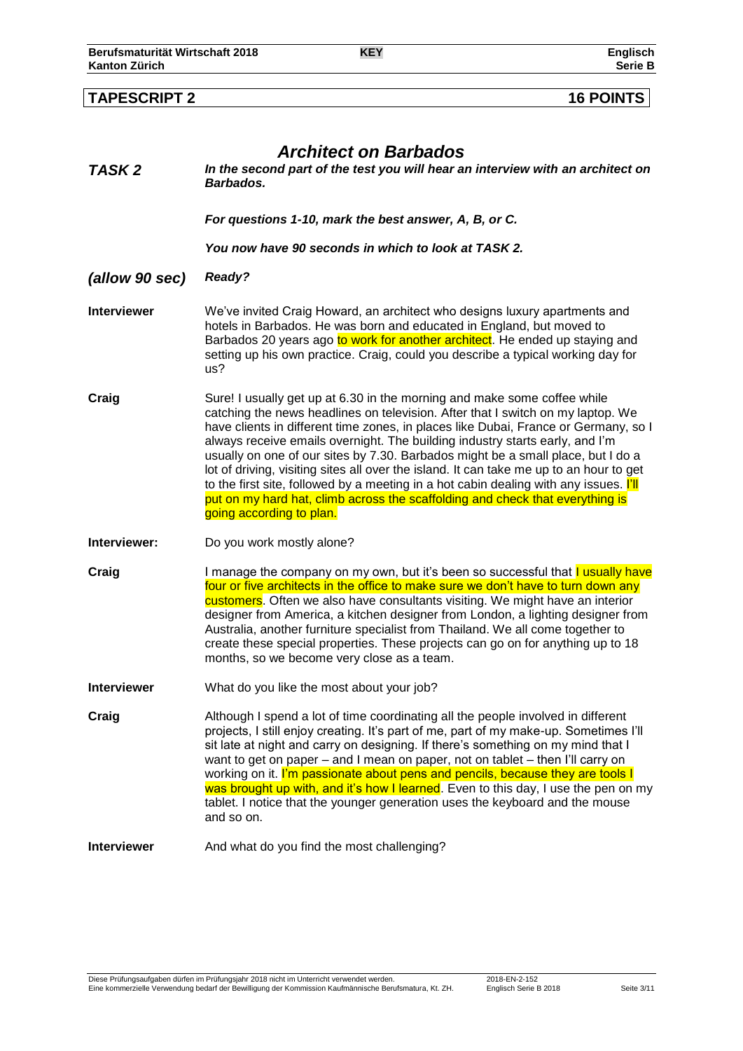|                    | <b>Architect on Barbados</b>                                                                                                                                                                                                                                                                                                                                                                                                                                                                                                                                                                                                                                                                                            |
|--------------------|-------------------------------------------------------------------------------------------------------------------------------------------------------------------------------------------------------------------------------------------------------------------------------------------------------------------------------------------------------------------------------------------------------------------------------------------------------------------------------------------------------------------------------------------------------------------------------------------------------------------------------------------------------------------------------------------------------------------------|
| TASK 2             | In the second part of the test you will hear an interview with an architect on<br>Barbados.                                                                                                                                                                                                                                                                                                                                                                                                                                                                                                                                                                                                                             |
|                    | For questions 1-10, mark the best answer, A, B, or C.                                                                                                                                                                                                                                                                                                                                                                                                                                                                                                                                                                                                                                                                   |
|                    | You now have 90 seconds in which to look at TASK 2.                                                                                                                                                                                                                                                                                                                                                                                                                                                                                                                                                                                                                                                                     |
| (allow 90 sec)     | Ready?                                                                                                                                                                                                                                                                                                                                                                                                                                                                                                                                                                                                                                                                                                                  |
| <b>Interviewer</b> | We've invited Craig Howard, an architect who designs luxury apartments and<br>hotels in Barbados. He was born and educated in England, but moved to<br>Barbados 20 years ago to work for another architect. He ended up staying and<br>setting up his own practice. Craig, could you describe a typical working day for<br>us?                                                                                                                                                                                                                                                                                                                                                                                          |
| Craig              | Sure! I usually get up at 6.30 in the morning and make some coffee while<br>catching the news headlines on television. After that I switch on my laptop. We<br>have clients in different time zones, in places like Dubai, France or Germany, so I<br>always receive emails overnight. The building industry starts early, and I'm<br>usually on one of our sites by 7.30. Barbados might be a small place, but I do a<br>lot of driving, visiting sites all over the island. It can take me up to an hour to get<br>to the first site, followed by a meeting in a hot cabin dealing with any issues. I'll<br>put on my hard hat, climb across the scaffolding and check that everything is<br>going according to plan. |
| Interviewer:       | Do you work mostly alone?                                                                                                                                                                                                                                                                                                                                                                                                                                                                                                                                                                                                                                                                                               |
| Craig              | I manage the company on my own, but it's been so successful that <b>I usually have</b><br>four or five architects in the office to make sure we don't have to turn down any<br>customers. Often we also have consultants visiting. We might have an interior<br>designer from America, a kitchen designer from London, a lighting designer from<br>Australia, another furniture specialist from Thailand. We all come together to<br>create these special properties. These projects can go on for anything up to 18<br>months, so we become very close as a team.                                                                                                                                                      |
| <b>Interviewer</b> | What do you like the most about your job?                                                                                                                                                                                                                                                                                                                                                                                                                                                                                                                                                                                                                                                                               |
| Craig              | Although I spend a lot of time coordinating all the people involved in different<br>projects, I still enjoy creating. It's part of me, part of my make-up. Sometimes I'll<br>sit late at night and carry on designing. If there's something on my mind that I<br>want to get on paper – and I mean on paper, not on tablet – then I'll carry on<br>working on it. I'm passionate about pens and pencils, because they are tools I<br>was brought up with, and it's how I learned. Even to this day, I use the pen on my<br>tablet. I notice that the younger generation uses the keyboard and the mouse<br>and so on.                                                                                                   |
| <b>Interviewer</b> | And what do you find the most challenging?                                                                                                                                                                                                                                                                                                                                                                                                                                                                                                                                                                                                                                                                              |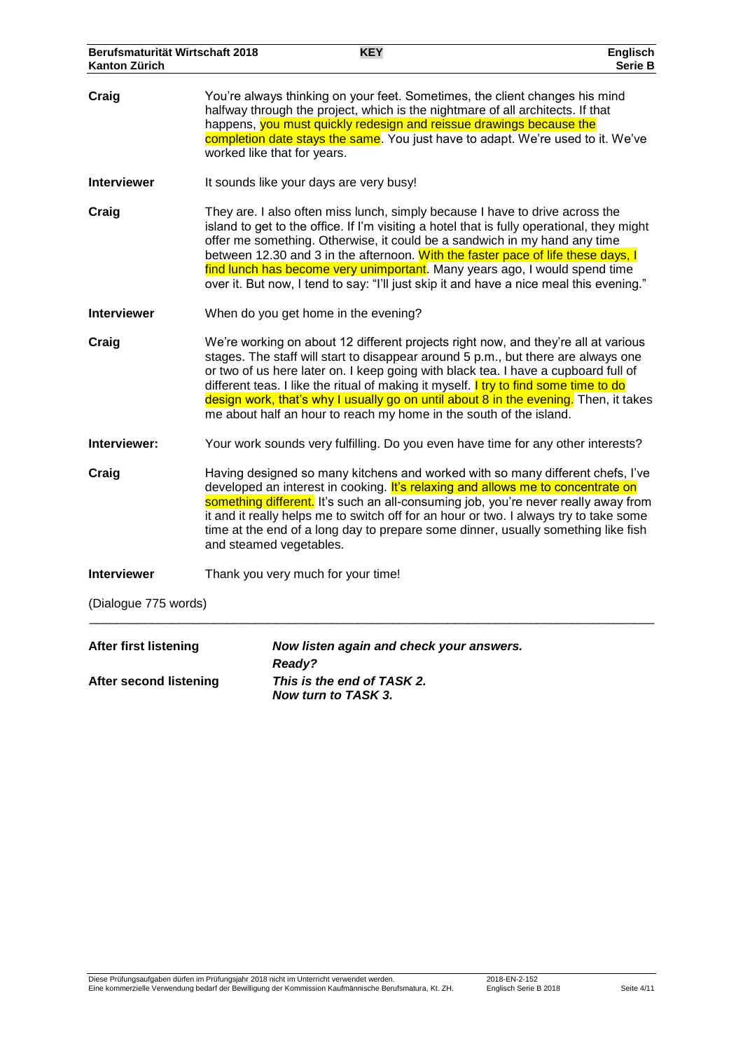| Berufsmaturität Wirtschaft 2018<br><b>Kanton Zürich</b>       |                                                                                                                                                                                                                                                                                                                                                                                                                                                                  | <b>KEY</b>                                                                                                                                                                                                                                                                                                                                                                                                                                                                                                           | <b>Englisch</b><br>Serie B |
|---------------------------------------------------------------|------------------------------------------------------------------------------------------------------------------------------------------------------------------------------------------------------------------------------------------------------------------------------------------------------------------------------------------------------------------------------------------------------------------------------------------------------------------|----------------------------------------------------------------------------------------------------------------------------------------------------------------------------------------------------------------------------------------------------------------------------------------------------------------------------------------------------------------------------------------------------------------------------------------------------------------------------------------------------------------------|----------------------------|
| Craig                                                         |                                                                                                                                                                                                                                                                                                                                                                                                                                                                  | You're always thinking on your feet. Sometimes, the client changes his mind<br>halfway through the project, which is the nightmare of all architects. If that<br>happens, you must quickly redesign and reissue drawings because the<br>completion date stays the same. You just have to adapt. We're used to it. We've<br>worked like that for years.                                                                                                                                                               |                            |
| <b>Interviewer</b>                                            |                                                                                                                                                                                                                                                                                                                                                                                                                                                                  | It sounds like your days are very busy!                                                                                                                                                                                                                                                                                                                                                                                                                                                                              |                            |
| Craig                                                         |                                                                                                                                                                                                                                                                                                                                                                                                                                                                  | They are. I also often miss lunch, simply because I have to drive across the<br>island to get to the office. If I'm visiting a hotel that is fully operational, they might<br>offer me something. Otherwise, it could be a sandwich in my hand any time<br>between 12.30 and 3 in the afternoon. With the faster pace of life these days, I<br>find lunch has become very unimportant. Many years ago, I would spend time<br>over it. But now, I tend to say: "I'll just skip it and have a nice meal this evening." |                            |
| <b>Interviewer</b>                                            |                                                                                                                                                                                                                                                                                                                                                                                                                                                                  | When do you get home in the evening?                                                                                                                                                                                                                                                                                                                                                                                                                                                                                 |                            |
| Craig                                                         |                                                                                                                                                                                                                                                                                                                                                                                                                                                                  | We're working on about 12 different projects right now, and they're all at various<br>stages. The staff will start to disappear around 5 p.m., but there are always one<br>or two of us here later on. I keep going with black tea. I have a cupboard full of<br>different teas. I like the ritual of making it myself. I try to find some time to do<br>design work, that's why I usually go on until about 8 in the evening. Then, it takes<br>me about half an hour to reach my home in the south of the island.  |                            |
| Interviewer:                                                  |                                                                                                                                                                                                                                                                                                                                                                                                                                                                  | Your work sounds very fulfilling. Do you even have time for any other interests?                                                                                                                                                                                                                                                                                                                                                                                                                                     |                            |
| Craig                                                         | Having designed so many kitchens and worked with so many different chefs, I've<br>developed an interest in cooking. It's relaxing and allows me to concentrate on<br>something different. It's such an all-consuming job, you're never really away from<br>it and it really helps me to switch off for an hour or two. I always try to take some<br>time at the end of a long day to prepare some dinner, usually something like fish<br>and steamed vegetables. |                                                                                                                                                                                                                                                                                                                                                                                                                                                                                                                      |                            |
| <b>Interviewer</b>                                            |                                                                                                                                                                                                                                                                                                                                                                                                                                                                  | Thank you very much for your time!                                                                                                                                                                                                                                                                                                                                                                                                                                                                                   |                            |
| (Dialogue 775 words)                                          |                                                                                                                                                                                                                                                                                                                                                                                                                                                                  |                                                                                                                                                                                                                                                                                                                                                                                                                                                                                                                      |                            |
| <b>After first listening</b><br><b>After second listening</b> |                                                                                                                                                                                                                                                                                                                                                                                                                                                                  | Now listen again and check your answers.<br>Ready?<br>This is the end of TASK 2.<br>Now turn to TASK 3.                                                                                                                                                                                                                                                                                                                                                                                                              |                            |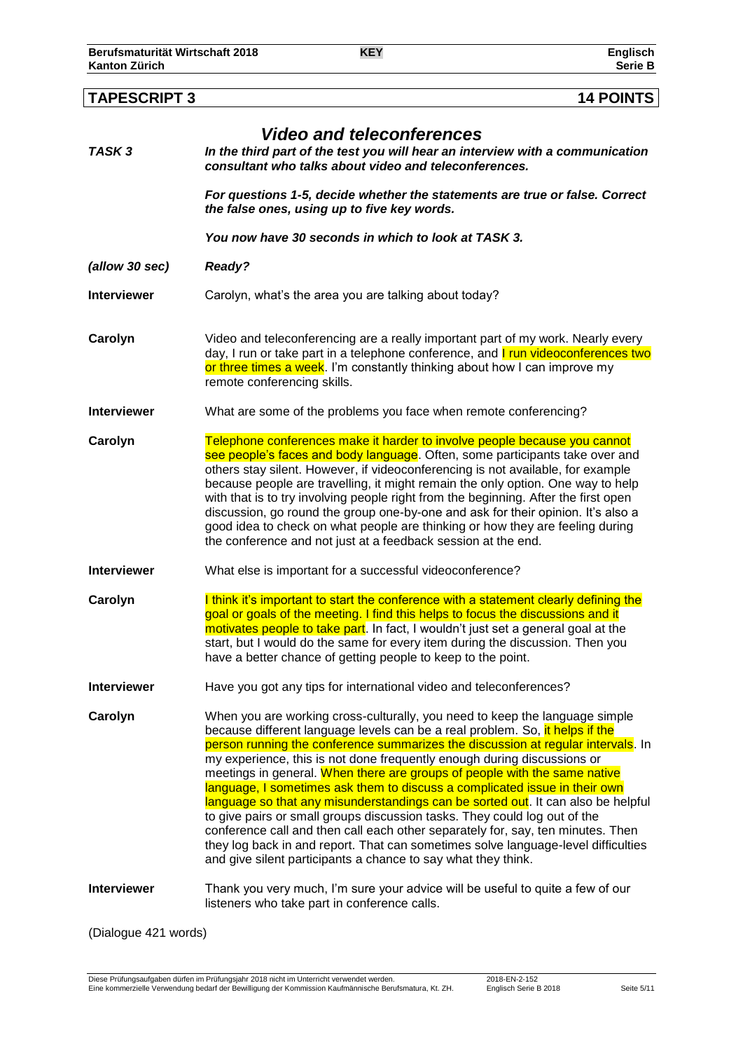# **TAPESCRIPT 3 14 POINTS** *Video and teleconferences*

| TASK 3             | video and teleconferences<br>In the third part of the test you will hear an interview with a communication<br>consultant who talks about video and teleconferences.                                                                                                                                                                                                                                                                                                                                                                                                                                                                                                                                                                                                                                                                                                                             |  |  |
|--------------------|-------------------------------------------------------------------------------------------------------------------------------------------------------------------------------------------------------------------------------------------------------------------------------------------------------------------------------------------------------------------------------------------------------------------------------------------------------------------------------------------------------------------------------------------------------------------------------------------------------------------------------------------------------------------------------------------------------------------------------------------------------------------------------------------------------------------------------------------------------------------------------------------------|--|--|
|                    | For questions 1-5, decide whether the statements are true or false. Correct<br>the false ones, using up to five key words.                                                                                                                                                                                                                                                                                                                                                                                                                                                                                                                                                                                                                                                                                                                                                                      |  |  |
|                    | You now have 30 seconds in which to look at TASK 3.                                                                                                                                                                                                                                                                                                                                                                                                                                                                                                                                                                                                                                                                                                                                                                                                                                             |  |  |
| (allow 30 sec)     | <b>Ready?</b>                                                                                                                                                                                                                                                                                                                                                                                                                                                                                                                                                                                                                                                                                                                                                                                                                                                                                   |  |  |
| <b>Interviewer</b> | Carolyn, what's the area you are talking about today?                                                                                                                                                                                                                                                                                                                                                                                                                                                                                                                                                                                                                                                                                                                                                                                                                                           |  |  |
| Carolyn            | Video and teleconferencing are a really important part of my work. Nearly every<br>day, I run or take part in a telephone conference, and <b>I run videoconferences two</b><br>or three times a week. I'm constantly thinking about how I can improve my<br>remote conferencing skills.                                                                                                                                                                                                                                                                                                                                                                                                                                                                                                                                                                                                         |  |  |
| <b>Interviewer</b> | What are some of the problems you face when remote conferencing?                                                                                                                                                                                                                                                                                                                                                                                                                                                                                                                                                                                                                                                                                                                                                                                                                                |  |  |
| Carolyn            | Telephone conferences make it harder to involve people because you cannot<br>see people's faces and body language. Often, some participants take over and<br>others stay silent. However, if videoconferencing is not available, for example<br>because people are travelling, it might remain the only option. One way to help<br>with that is to try involving people right from the beginning. After the first open<br>discussion, go round the group one-by-one and ask for their opinion. It's also a<br>good idea to check on what people are thinking or how they are feeling during<br>the conference and not just at a feedback session at the end.                                                                                                                                                                                                                                    |  |  |
| <b>Interviewer</b> | What else is important for a successful videoconference?                                                                                                                                                                                                                                                                                                                                                                                                                                                                                                                                                                                                                                                                                                                                                                                                                                        |  |  |
| Carolyn            | I think it's important to start the conference with a statement clearly defining the<br>goal or goals of the meeting. I find this helps to focus the discussions and it<br>motivates people to take part. In fact, I wouldn't just set a general goal at the<br>start, but I would do the same for every item during the discussion. Then you<br>have a better chance of getting people to keep to the point.                                                                                                                                                                                                                                                                                                                                                                                                                                                                                   |  |  |
| <b>Interviewer</b> | Have you got any tips for international video and teleconferences?                                                                                                                                                                                                                                                                                                                                                                                                                                                                                                                                                                                                                                                                                                                                                                                                                              |  |  |
| Carolyn            | When you are working cross-culturally, you need to keep the language simple<br>because different language levels can be a real problem. So, it helps if the<br>person running the conference summarizes the discussion at regular intervals. In<br>my experience, this is not done frequently enough during discussions or<br>meetings in general. When there are groups of people with the same native<br>language, I sometimes ask them to discuss a complicated issue in their own<br>language so that any misunderstandings can be sorted out. It can also be helpful<br>to give pairs or small groups discussion tasks. They could log out of the<br>conference call and then call each other separately for, say, ten minutes. Then<br>they log back in and report. That can sometimes solve language-level difficulties<br>and give silent participants a chance to say what they think. |  |  |
| <b>Interviewer</b> | Thank you very much, I'm sure your advice will be useful to quite a few of our<br>listeners who take part in conference calls.                                                                                                                                                                                                                                                                                                                                                                                                                                                                                                                                                                                                                                                                                                                                                                  |  |  |

(Dialogue 421 words)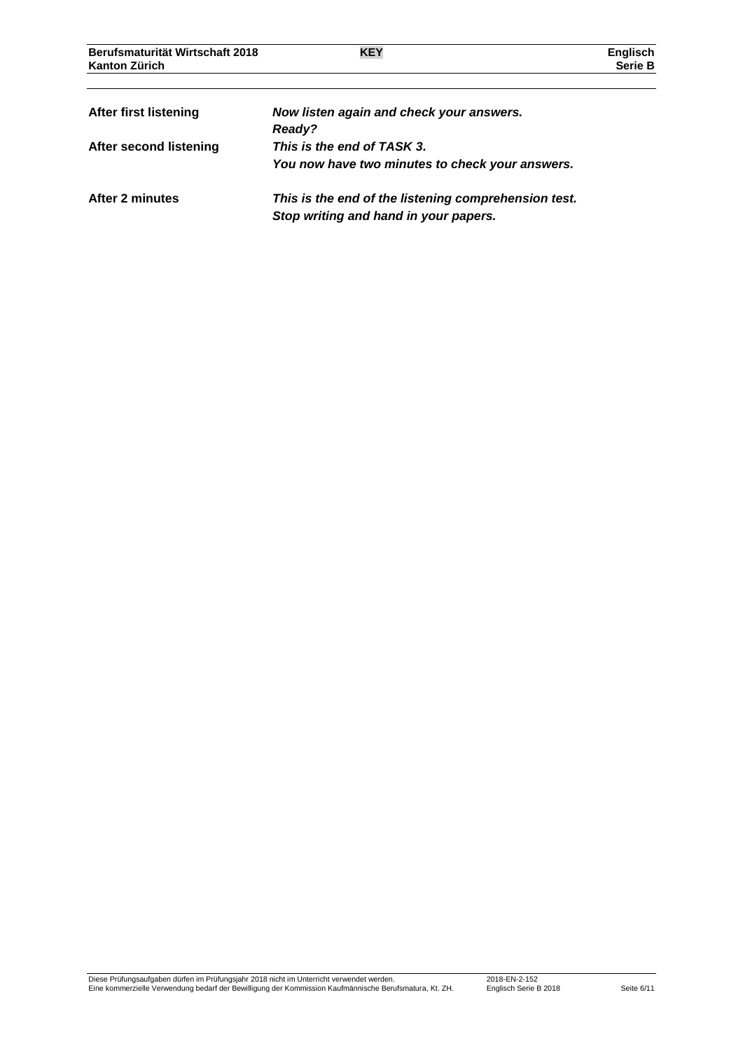| Berufsmaturität Wirtschaft 2018<br>Kanton Zürich | <b>KEY</b>                                                                                    | <b>Englisch</b><br>Serie B |
|--------------------------------------------------|-----------------------------------------------------------------------------------------------|----------------------------|
| After first listening                            | Now listen again and check your answers.<br>Ready?                                            |                            |
| After second listening                           | This is the end of TASK 3.<br>You now have two minutes to check your answers.                 |                            |
| After 2 minutes                                  | This is the end of the listening comprehension test.<br>Stop writing and hand in your papers. |                            |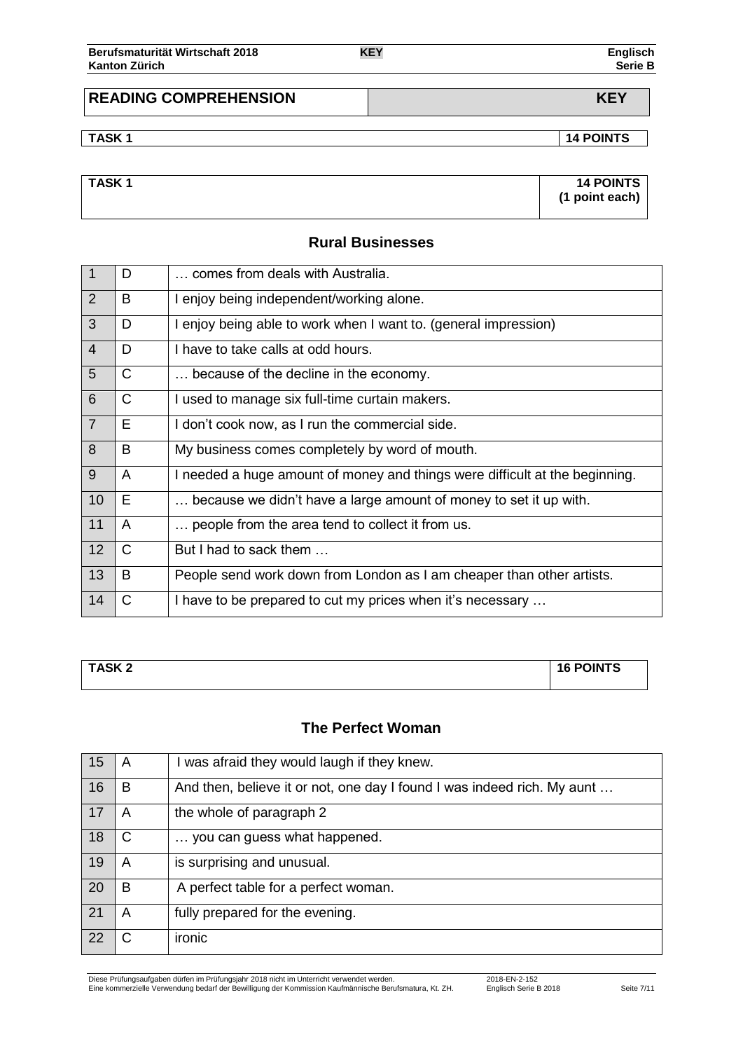| Berufsmaturität Wirtschaft 2018 | <b>KEY</b> | Englisch       |
|---------------------------------|------------|----------------|
| <b>Kanton Zürich</b>            |            | <b>Serie B</b> |

# **READING COMPREHENSION KEY**

**TASK 1 14 POINTS**

| <b>TASK1</b> | <b>14 POINTS</b> |
|--------------|------------------|
|              | (1 point each)   |
|              |                  |

# **Rural Businesses**

| $\overline{1}$ | D            | comes from deals with Australia.                                            |
|----------------|--------------|-----------------------------------------------------------------------------|
| $\overline{2}$ | B            | I enjoy being independent/working alone.                                    |
| $\mathbf{3}$   | D            | I enjoy being able to work when I want to. (general impression)             |
| $\overline{4}$ | D            | I have to take calls at odd hours.                                          |
| $5\phantom{1}$ | $\mathsf{C}$ | because of the decline in the economy.                                      |
| 6              | C            | I used to manage six full-time curtain makers.                              |
| 7              | E            | I don't cook now, as I run the commercial side.                             |
| 8              | B            | My business comes completely by word of mouth.                              |
| 9              | A            | I needed a huge amount of money and things were difficult at the beginning. |
| 10             | E            | because we didn't have a large amount of money to set it up with.           |
| 11             | A            | people from the area tend to collect it from us.                            |
| 12             | $\mathsf{C}$ | But I had to sack them                                                      |
| 13             | B            | People send work down from London as I am cheaper than other artists.       |
| 14             | C            | I have to be prepared to cut my prices when it's necessary                  |

| <b>TASK2</b> | <b>16 POINTS</b> |  |
|--------------|------------------|--|
|              |                  |  |

# **The Perfect Woman**

| 15 | A | was afraid they would laugh if they knew.                               |
|----|---|-------------------------------------------------------------------------|
| 16 | B | And then, believe it or not, one day I found I was indeed rich. My aunt |
| 17 | A | the whole of paragraph 2                                                |
| 18 | C | you can guess what happened.                                            |
| 19 | A | is surprising and unusual.                                              |
| 20 | B | A perfect table for a perfect woman.                                    |
| 21 | A | fully prepared for the evening.                                         |
| 22 |   | ironic                                                                  |

Diese Prüfungsaufgaben dürfen im Prüfungsjahr 2018 nicht im Unterricht verwendet werden. 2018-EN-2-152 Eine kommerzielle Verwendung bedarf der Bewilligung der Kommission Kaufmännische Berufsmatura, Kt. ZH. Englisch Serie B 2018 Seite 7/11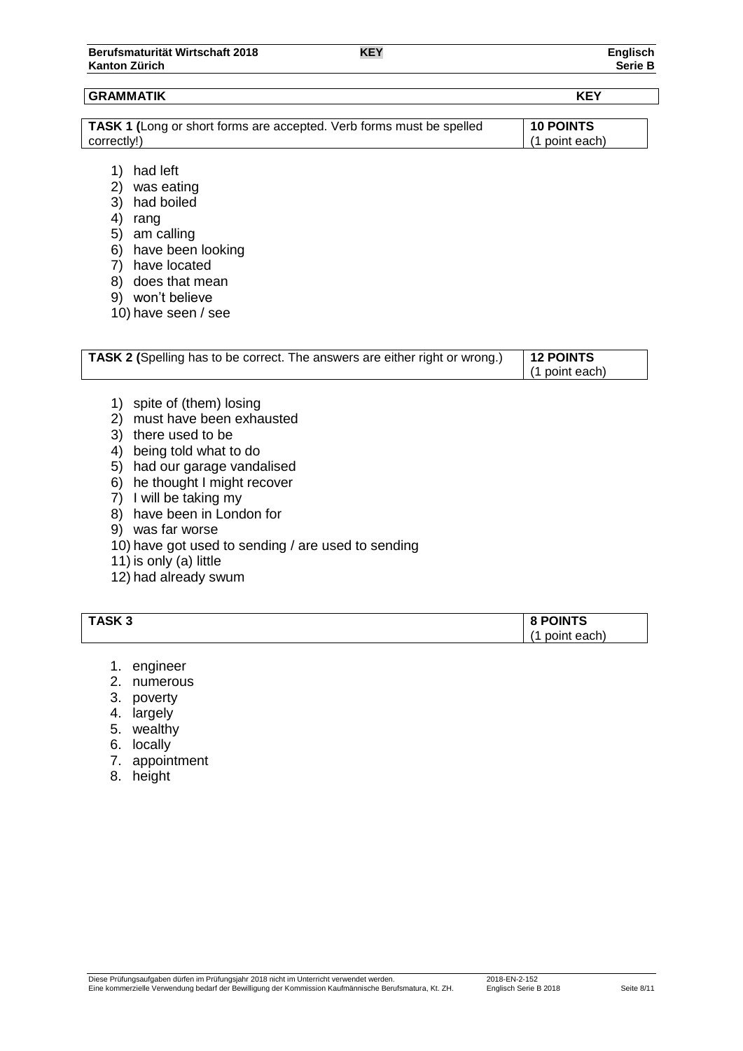| TASK 1 (Long or short forms are accepted. Verb forms must be spelled | 10 POINTS        |
|----------------------------------------------------------------------|------------------|
| correctly!)                                                          | $(1$ point each) |
|                                                                      |                  |

- 1) had left
- 2) was eating
- 3) had boiled
- 4) rang
- 5) am calling
- 6) have been looking
- 7) have located
- 8) does that mean
- 9) won't believe
- 10) have seen / see

| TASK 2 (Spelling has to be correct. The answers are either right or wrong.) | $\vert$ 12 POINTS |
|-----------------------------------------------------------------------------|-------------------|
|                                                                             | (1 point each)    |

- 1) spite of (them) losing
- 2) must have been exhausted
- 3) there used to be
- 4) being told what to do
- 5) had our garage vandalised
- 6) he thought I might recover
- 7) I will be taking my
- 8) have been in London for
- 9) was far worse
- 10) have got used to sending / are used to sending
- 11) is only (a) little
- 12) had already swum

| TASK <sub>3</sub> | <b>POINTS</b><br>$\bullet$ |
|-------------------|----------------------------|
|                   | point each)                |

- 1. engineer
- 2. numerous
- 3. poverty
- 4. largely
- 5. wealthy
- 6. locally
- 7. appointment
- 8. height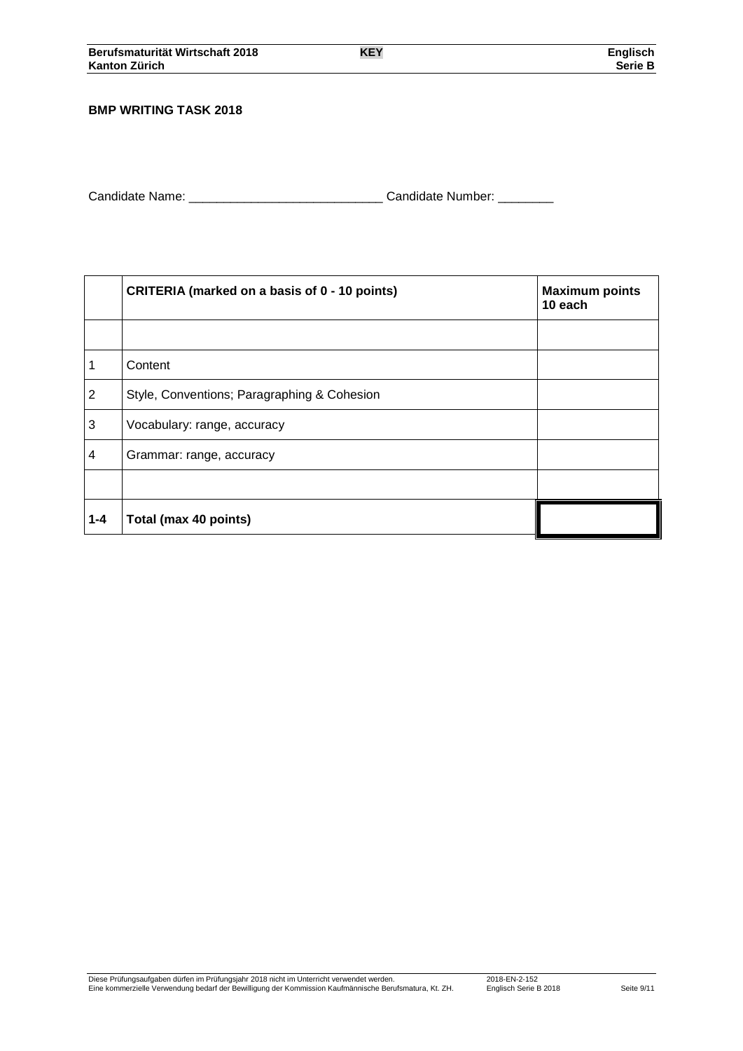#### **BMP WRITING TASK 2018**

| Candidate Name: | Candidate Number: |  |
|-----------------|-------------------|--|
|                 |                   |  |

|                | CRITERIA (marked on a basis of 0 - 10 points) | <b>Maximum points</b><br>10 each |
|----------------|-----------------------------------------------|----------------------------------|
|                |                                               |                                  |
| 1              | Content                                       |                                  |
| $\overline{2}$ | Style, Conventions; Paragraphing & Cohesion   |                                  |
| 3              | Vocabulary: range, accuracy                   |                                  |
| 4              | Grammar: range, accuracy                      |                                  |
|                |                                               |                                  |
| $1 - 4$        | Total (max 40 points)                         |                                  |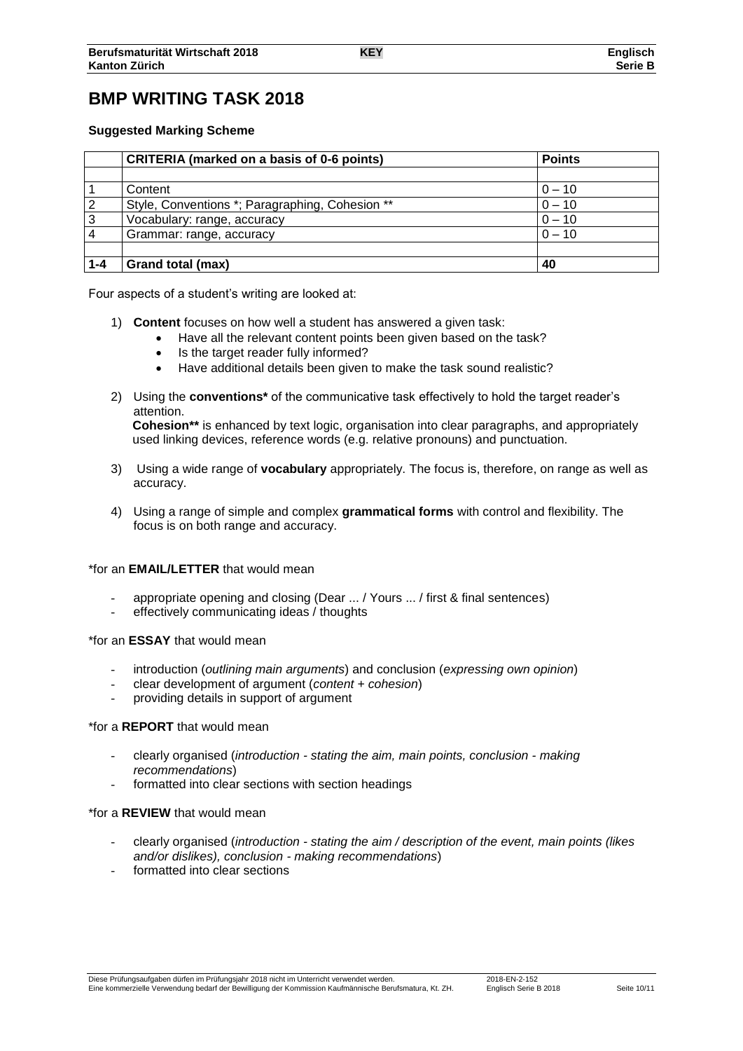# **BMP WRITING TASK 2018**

#### **Suggested Marking Scheme**

|         | <b>CRITERIA</b> (marked on a basis of 0-6 points) | <b>Points</b> |  |
|---------|---------------------------------------------------|---------------|--|
|         |                                                   |               |  |
|         | Content                                           | $0 - 10$      |  |
| 2       | Style, Conventions *; Paragraphing, Cohesion **   | $0 - 10$      |  |
| 3       | Vocabulary: range, accuracy                       | $0 - 10$      |  |
|         | Grammar: range, accuracy                          | $0 - 10$      |  |
|         |                                                   |               |  |
| $1 - 4$ | Grand total (max)                                 | 40            |  |

Four aspects of a student's writing are looked at:

- 1) **Content** focuses on how well a student has answered a given task:
	- Have all the relevant content points been given based on the task?
	- Is the target reader fully informed?
	- Have additional details been given to make the task sound realistic?
- 2) Using the **conventions\*** of the communicative task effectively to hold the target reader's attention. **Cohesion\*\*** is enhanced by text logic, organisation into clear paragraphs, and appropriately

used linking devices, reference words (e.g. relative pronouns) and punctuation.

- 3) Using a wide range of **vocabulary** appropriately. The focus is, therefore, on range as well as accuracy.
- 4) Using a range of simple and complex **grammatical forms** with control and flexibility. The focus is on both range and accuracy.

#### \*for an **EMAIL/LETTER** that would mean

- appropriate opening and closing (Dear ... / Yours ... / first & final sentences)
- effectively communicating ideas / thoughts

#### \*for an **ESSAY** that would mean

- introduction (*outlining main arguments*) and conclusion (*expressing own opinion*)
- clear development of argument (*content + cohesion*)
- providing details in support of argument

#### \*for a **REPORT** that would mean

- clearly organised (*introduction - stating the aim, main points, conclusion - making recommendations*)
- formatted into clear sections with section headings

#### \*for a **REVIEW** that would mean

- clearly organised (*introduction - stating the aim / description of the event, main points (likes and/or dislikes), conclusion - making recommendations*)
- formatted into clear sections